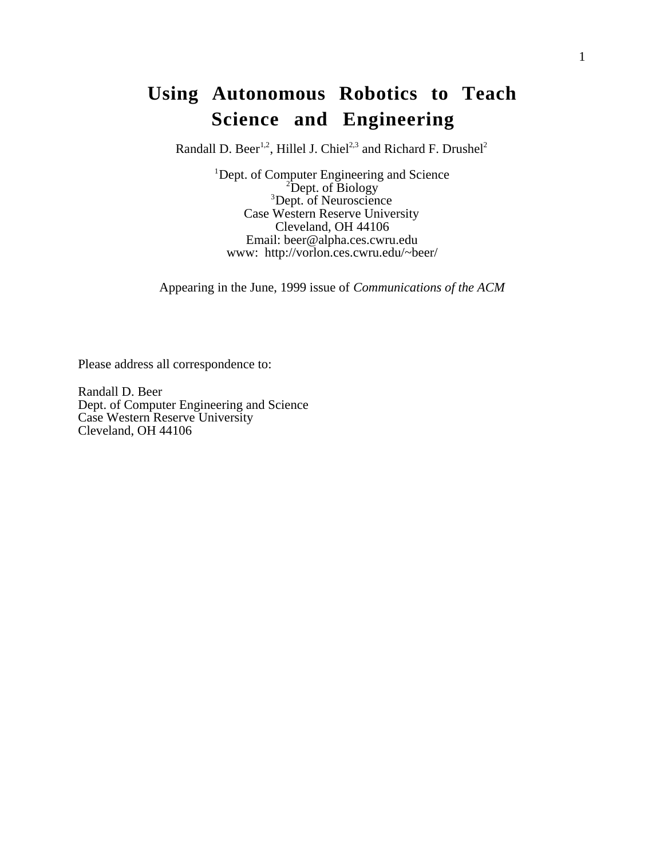# **Using Autonomous Robotics to Teach Science and Engineering**

Randall D. Beer<sup>1,2</sup>, Hillel J. Chiel<sup>2,3</sup> and Richard F. Drushel<sup>2</sup>

<sup>1</sup>Dept. of Computer Engineering and Science  $\frac{2\text{Dom}t}{2\text{Dom}t}$  of Biology <sup>2</sup>Dept. of Biology<br><sup>3</sup>Dept. of Neuroscience Case Western Reserve University Cleveland, OH 44106 Email: beer@alpha.ces.cwru.edu www: http://vorlon.ces.cwru.edu/~beer/

Appearing in the June, 1999 issue of *Communications of the ACM*

Please address all correspondence to:

Randall D. Beer Dept. of Computer Engineering and Science Case Western Reserve University Cleveland, OH 44106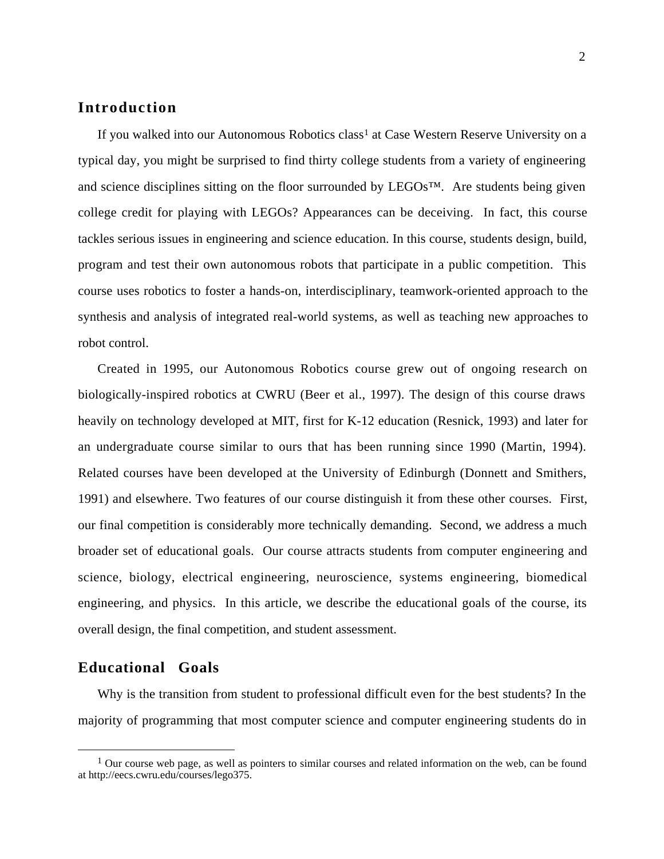## **Introduction**

If you walked into our Autonomous Robotics class<sup>1</sup> at Case Western Reserve University on a typical day, you might be surprised to find thirty college students from a variety of engineering and science disciplines sitting on the floor surrounded by LEGOs™. Are students being given college credit for playing with LEGOs? Appearances can be deceiving. In fact, this course tackles serious issues in engineering and science education. In this course, students design, build, program and test their own autonomous robots that participate in a public competition. This course uses robotics to foster a hands-on, interdisciplinary, teamwork-oriented approach to the synthesis and analysis of integrated real-world systems, as well as teaching new approaches to robot control.

Created in 1995, our Autonomous Robotics course grew out of ongoing research on biologically-inspired robotics at CWRU (Beer et al., 1997). The design of this course draws heavily on technology developed at MIT, first for K-12 education (Resnick, 1993) and later for an undergraduate course similar to ours that has been running since 1990 (Martin, 1994). Related courses have been developed at the University of Edinburgh (Donnett and Smithers, 1991) and elsewhere. Two features of our course distinguish it from these other courses. First, our final competition is considerably more technically demanding. Second, we address a much broader set of educational goals. Our course attracts students from computer engineering and science, biology, electrical engineering, neuroscience, systems engineering, biomedical engineering, and physics. In this article, we describe the educational goals of the course, its overall design, the final competition, and student assessment.

#### **Educational Goals**

Why is the transition from student to professional difficult even for the best students? In the majority of programming that most computer science and computer engineering students do in

<sup>&</sup>lt;sup>1</sup> Our course web page, as well as pointers to similar courses and related information on the web, can be found at http://eecs.cwru.edu/courses/lego375.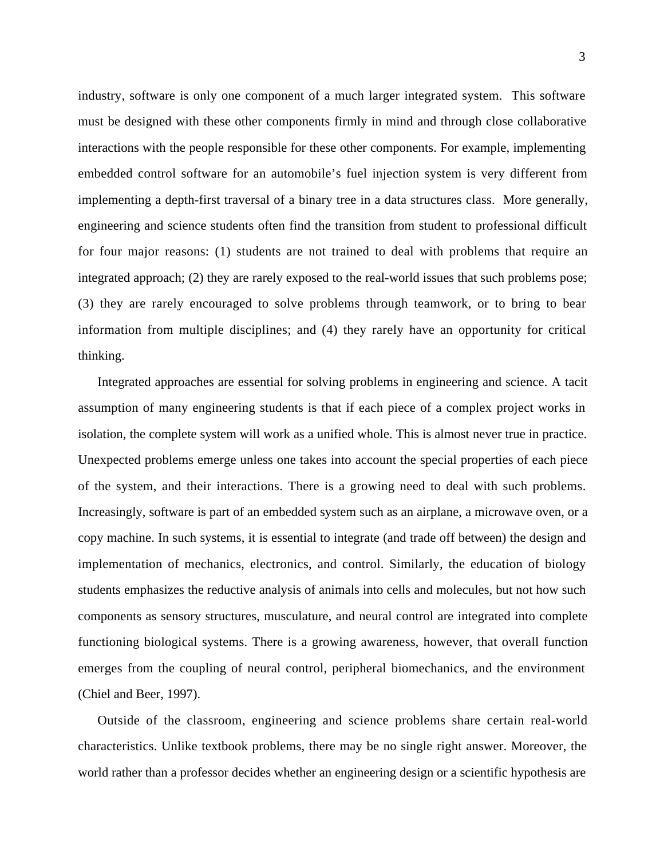industry, software is only one component of a much larger integrated system. This software must be designed with these other components firmly in mind and through close collaborative interactions with the people responsible for these other components. For example, implementing embedded control software for an automobile's fuel injection system is very different from implementing a depth-first traversal of a binary tree in a data structures class. More generally, engineering and science students often find the transition from student to professional difficult for four major reasons: (1) students are not trained to deal with problems that require an integrated approach; (2) they are rarely exposed to the real-world issues that such problems pose; (3) they are rarely encouraged to solve problems through teamwork, or to bring to bear information from multiple disciplines; and (4) they rarely have an opportunity for critical thinking.

Integrated approaches are essential for solving problems in engineering and science. A tacit assumption of many engineering students is that if each piece of a complex project works in isolation, the complete system will work as a unified whole. This is almost never true in practice. Unexpected problems emerge unless one takes into account the special properties of each piece of the system, and their interactions. There is a growing need to deal with such problems. Increasingly, software is part of an embedded system such as an airplane, a microwave oven, or a copy machine. In such systems, it is essential to integrate (and trade off between) the design and implementation of mechanics, electronics, and control. Similarly, the education of biology students emphasizes the reductive analysis of animals into cells and molecules, but not how such components as sensory structures, musculature, and neural control are integrated into complete functioning biological systems. There is a growing awareness, however, that overall function emerges from the coupling of neural control, peripheral biomechanics, and the environment (Chiel and Beer, 1997).

Outside of the classroom, engineering and science problems share certain real-world characteristics. Unlike textbook problems, there may be no single right answer. Moreover, the world rather than a professor decides whether an engineering design or a scientific hypothesis are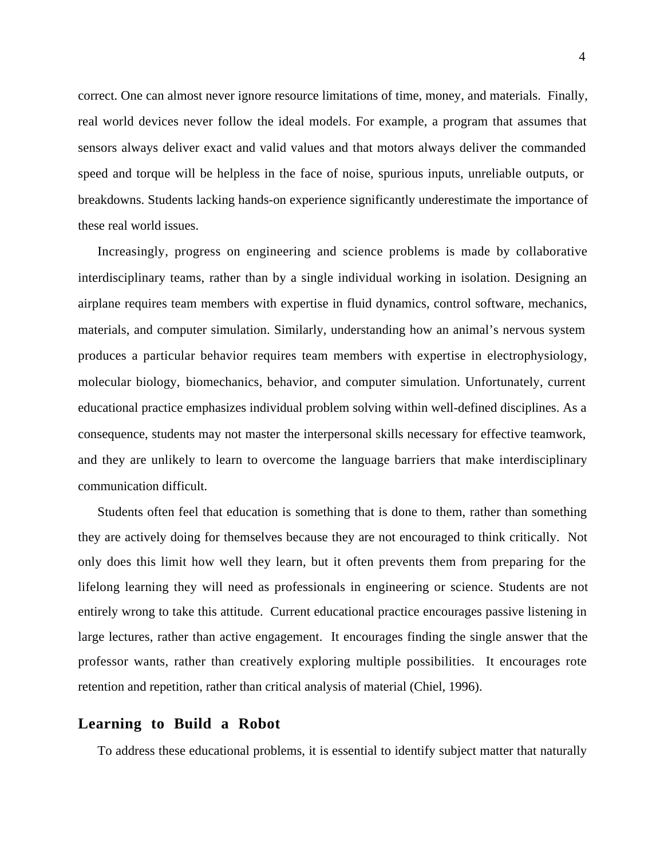correct. One can almost never ignore resource limitations of time, money, and materials. Finally, real world devices never follow the ideal models. For example, a program that assumes that sensors always deliver exact and valid values and that motors always deliver the commanded speed and torque will be helpless in the face of noise, spurious inputs, unreliable outputs, or breakdowns. Students lacking hands-on experience significantly underestimate the importance of these real world issues.

Increasingly, progress on engineering and science problems is made by collaborative interdisciplinary teams, rather than by a single individual working in isolation. Designing an airplane requires team members with expertise in fluid dynamics, control software, mechanics, materials, and computer simulation. Similarly, understanding how an animal's nervous system produces a particular behavior requires team members with expertise in electrophysiology, molecular biology, biomechanics, behavior, and computer simulation. Unfortunately, current educational practice emphasizes individual problem solving within well-defined disciplines. As a consequence, students may not master the interpersonal skills necessary for effective teamwork, and they are unlikely to learn to overcome the language barriers that make interdisciplinary communication difficult.

Students often feel that education is something that is done to them, rather than something they are actively doing for themselves because they are not encouraged to think critically. Not only does this limit how well they learn, but it often prevents them from preparing for the lifelong learning they will need as professionals in engineering or science. Students are not entirely wrong to take this attitude. Current educational practice encourages passive listening in large lectures, rather than active engagement. It encourages finding the single answer that the professor wants, rather than creatively exploring multiple possibilities. It encourages rote retention and repetition, rather than critical analysis of material (Chiel, 1996).

#### **Learning to Build a Robot**

To address these educational problems, it is essential to identify subject matter that naturally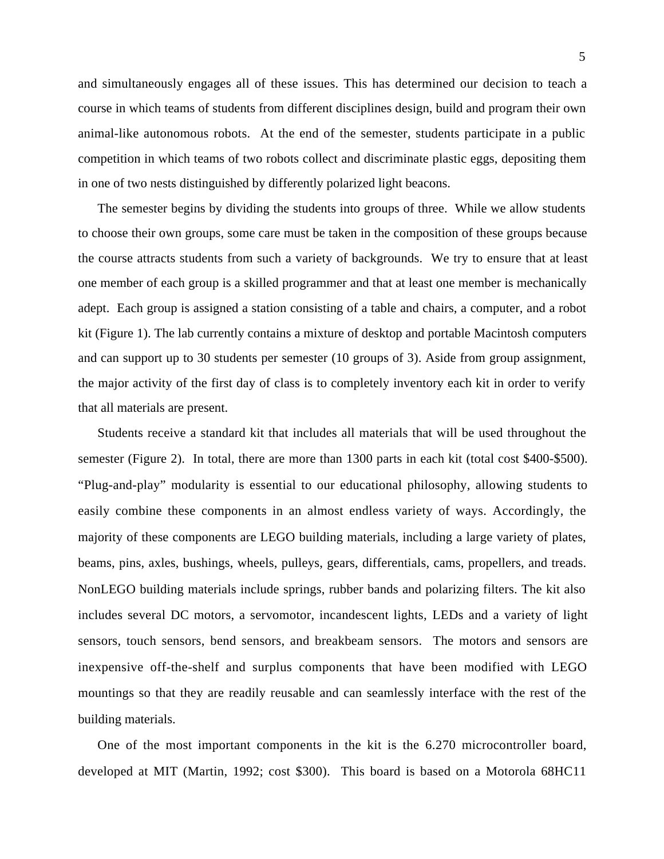and simultaneously engages all of these issues. This has determined our decision to teach a course in which teams of students from different disciplines design, build and program their own animal-like autonomous robots. At the end of the semester, students participate in a public competition in which teams of two robots collect and discriminate plastic eggs, depositing them in one of two nests distinguished by differently polarized light beacons.

The semester begins by dividing the students into groups of three. While we allow students to choose their own groups, some care must be taken in the composition of these groups because the course attracts students from such a variety of backgrounds. We try to ensure that at least one member of each group is a skilled programmer and that at least one member is mechanically adept. Each group is assigned a station consisting of a table and chairs, a computer, and a robot kit (Figure 1). The lab currently contains a mixture of desktop and portable Macintosh computers and can support up to 30 students per semester (10 groups of 3). Aside from group assignment, the major activity of the first day of class is to completely inventory each kit in order to verify that all materials are present.

Students receive a standard kit that includes all materials that will be used throughout the semester (Figure 2). In total, there are more than 1300 parts in each kit (total cost \$400-\$500). "Plug-and-play" modularity is essential to our educational philosophy, allowing students to easily combine these components in an almost endless variety of ways. Accordingly, the majority of these components are LEGO building materials, including a large variety of plates, beams, pins, axles, bushings, wheels, pulleys, gears, differentials, cams, propellers, and treads. NonLEGO building materials include springs, rubber bands and polarizing filters. The kit also includes several DC motors, a servomotor, incandescent lights, LEDs and a variety of light sensors, touch sensors, bend sensors, and breakbeam sensors. The motors and sensors are inexpensive off-the-shelf and surplus components that have been modified with LEGO mountings so that they are readily reusable and can seamlessly interface with the rest of the building materials.

One of the most important components in the kit is the 6.270 microcontroller board, developed at MIT (Martin, 1992; cost \$300). This board is based on a Motorola 68HC11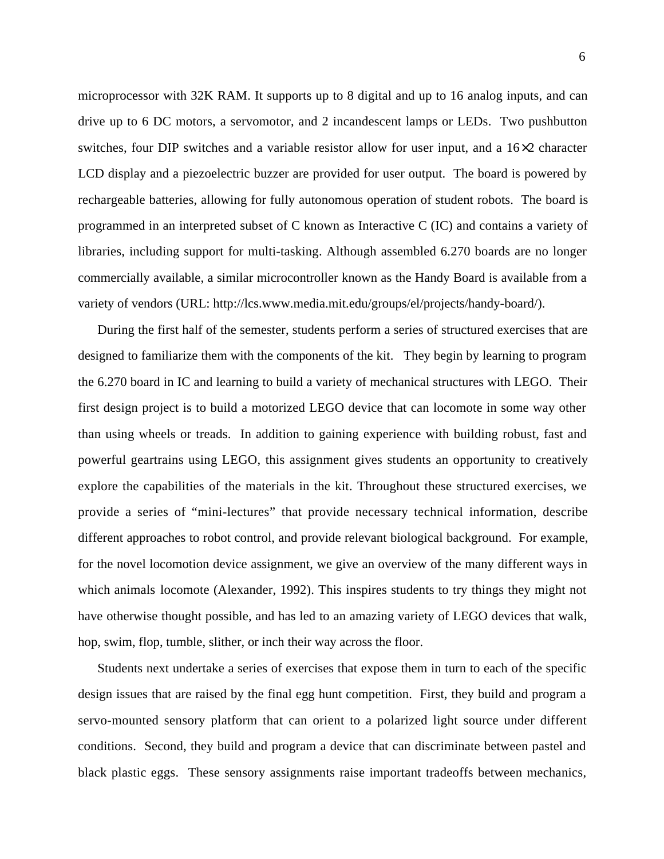microprocessor with 32K RAM. It supports up to 8 digital and up to 16 analog inputs, and can drive up to 6 DC motors, a servomotor, and 2 incandescent lamps or LEDs. Two pushbutton switches, four DIP switches and a variable resistor allow for user input, and a 16×2 character LCD display and a piezoelectric buzzer are provided for user output. The board is powered by rechargeable batteries, allowing for fully autonomous operation of student robots. The board is programmed in an interpreted subset of C known as Interactive C (IC) and contains a variety of libraries, including support for multi-tasking. Although assembled 6.270 boards are no longer commercially available, a similar microcontroller known as the Handy Board is available from a variety of vendors (URL: http://lcs.www.media.mit.edu/groups/el/projects/handy-board/).

During the first half of the semester, students perform a series of structured exercises that are designed to familiarize them with the components of the kit. They begin by learning to program the 6.270 board in IC and learning to build a variety of mechanical structures with LEGO. Their first design project is to build a motorized LEGO device that can locomote in some way other than using wheels or treads. In addition to gaining experience with building robust, fast and powerful geartrains using LEGO, this assignment gives students an opportunity to creatively explore the capabilities of the materials in the kit. Throughout these structured exercises, we provide a series of "mini-lectures" that provide necessary technical information, describe different approaches to robot control, and provide relevant biological background. For example, for the novel locomotion device assignment, we give an overview of the many different ways in which animals locomote (Alexander, 1992). This inspires students to try things they might not have otherwise thought possible, and has led to an amazing variety of LEGO devices that walk, hop, swim, flop, tumble, slither, or inch their way across the floor.

Students next undertake a series of exercises that expose them in turn to each of the specific design issues that are raised by the final egg hunt competition. First, they build and program a servo-mounted sensory platform that can orient to a polarized light source under different conditions. Second, they build and program a device that can discriminate between pastel and black plastic eggs. These sensory assignments raise important tradeoffs between mechanics,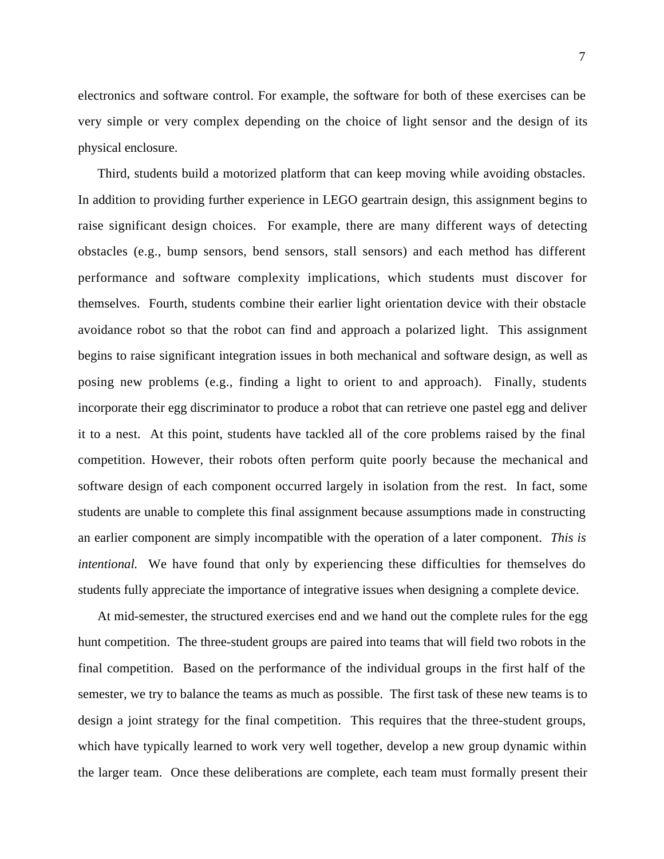electronics and software control. For example, the software for both of these exercises can be very simple or very complex depending on the choice of light sensor and the design of its physical enclosure.

Third, students build a motorized platform that can keep moving while avoiding obstacles. In addition to providing further experience in LEGO geartrain design, this assignment begins to raise significant design choices. For example, there are many different ways of detecting obstacles (e.g., bump sensors, bend sensors, stall sensors) and each method has different performance and software complexity implications, which students must discover for themselves. Fourth, students combine their earlier light orientation device with their obstacle avoidance robot so that the robot can find and approach a polarized light. This assignment begins to raise significant integration issues in both mechanical and software design, as well as posing new problems (e.g., finding a light to orient to and approach). Finally, students incorporate their egg discriminator to produce a robot that can retrieve one pastel egg and deliver it to a nest. At this point, students have tackled all of the core problems raised by the final competition. However, their robots often perform quite poorly because the mechanical and software design of each component occurred largely in isolation from the rest. In fact, some students are unable to complete this final assignment because assumptions made in constructing an earlier component are simply incompatible with the operation of a later component. *This is intentional.* We have found that only by experiencing these difficulties for themselves do students fully appreciate the importance of integrative issues when designing a complete device.

At mid-semester, the structured exercises end and we hand out the complete rules for the egg hunt competition. The three-student groups are paired into teams that will field two robots in the final competition. Based on the performance of the individual groups in the first half of the semester, we try to balance the teams as much as possible. The first task of these new teams is to design a joint strategy for the final competition. This requires that the three-student groups, which have typically learned to work very well together, develop a new group dynamic within the larger team. Once these deliberations are complete, each team must formally present their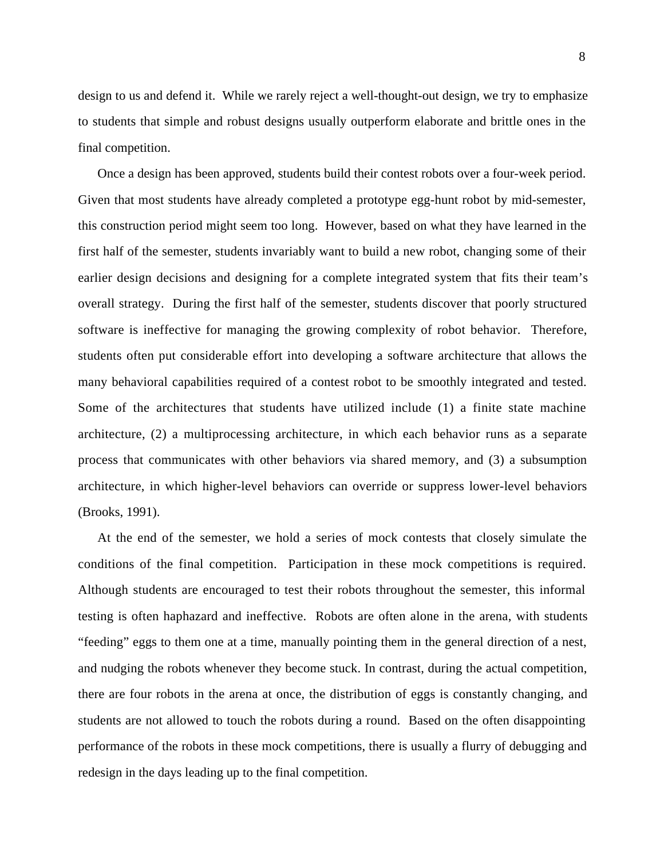design to us and defend it. While we rarely reject a well-thought-out design, we try to emphasize to students that simple and robust designs usually outperform elaborate and brittle ones in the final competition.

Once a design has been approved, students build their contest robots over a four-week period. Given that most students have already completed a prototype egg-hunt robot by mid-semester, this construction period might seem too long. However, based on what they have learned in the first half of the semester, students invariably want to build a new robot, changing some of their earlier design decisions and designing for a complete integrated system that fits their team's overall strategy. During the first half of the semester, students discover that poorly structured software is ineffective for managing the growing complexity of robot behavior. Therefore, students often put considerable effort into developing a software architecture that allows the many behavioral capabilities required of a contest robot to be smoothly integrated and tested. Some of the architectures that students have utilized include (1) a finite state machine architecture, (2) a multiprocessing architecture, in which each behavior runs as a separate process that communicates with other behaviors via shared memory, and (3) a subsumption architecture, in which higher-level behaviors can override or suppress lower-level behaviors (Brooks, 1991).

At the end of the semester, we hold a series of mock contests that closely simulate the conditions of the final competition. Participation in these mock competitions is required. Although students are encouraged to test their robots throughout the semester, this informal testing is often haphazard and ineffective. Robots are often alone in the arena, with students "feeding" eggs to them one at a time, manually pointing them in the general direction of a nest, and nudging the robots whenever they become stuck. In contrast, during the actual competition, there are four robots in the arena at once, the distribution of eggs is constantly changing, and students are not allowed to touch the robots during a round. Based on the often disappointing performance of the robots in these mock competitions, there is usually a flurry of debugging and redesign in the days leading up to the final competition.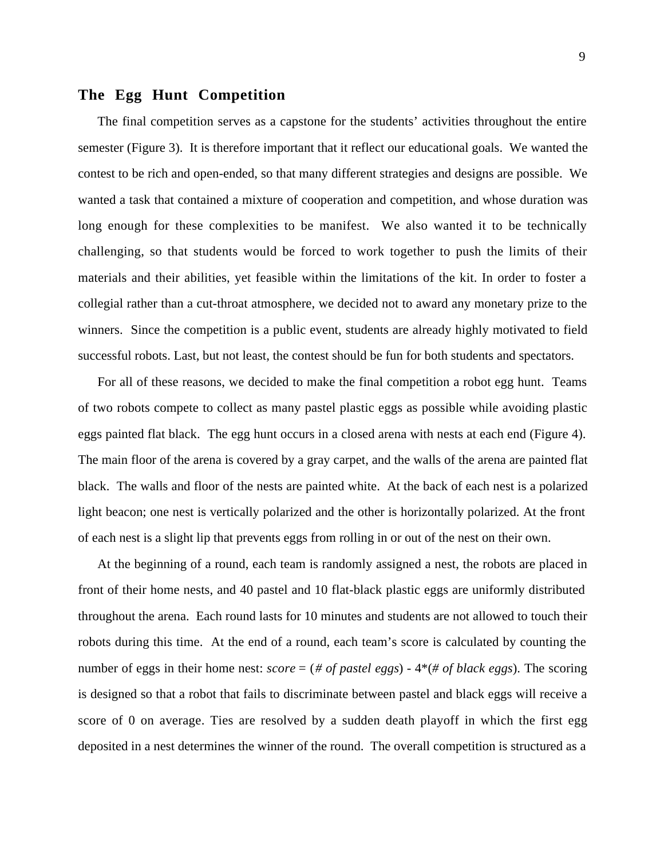### **The Egg Hunt Competition**

The final competition serves as a capstone for the students' activities throughout the entire semester (Figure 3). It is therefore important that it reflect our educational goals. We wanted the contest to be rich and open-ended, so that many different strategies and designs are possible. We wanted a task that contained a mixture of cooperation and competition, and whose duration was long enough for these complexities to be manifest. We also wanted it to be technically challenging, so that students would be forced to work together to push the limits of their materials and their abilities, yet feasible within the limitations of the kit. In order to foster a collegial rather than a cut-throat atmosphere, we decided not to award any monetary prize to the winners. Since the competition is a public event, students are already highly motivated to field successful robots. Last, but not least, the contest should be fun for both students and spectators.

For all of these reasons, we decided to make the final competition a robot egg hunt. Teams of two robots compete to collect as many pastel plastic eggs as possible while avoiding plastic eggs painted flat black. The egg hunt occurs in a closed arena with nests at each end (Figure 4). The main floor of the arena is covered by a gray carpet, and the walls of the arena are painted flat black. The walls and floor of the nests are painted white. At the back of each nest is a polarized light beacon; one nest is vertically polarized and the other is horizontally polarized. At the front of each nest is a slight lip that prevents eggs from rolling in or out of the nest on their own.

At the beginning of a round, each team is randomly assigned a nest, the robots are placed in front of their home nests, and 40 pastel and 10 flat-black plastic eggs are uniformly distributed throughout the arena. Each round lasts for 10 minutes and students are not allowed to touch their robots during this time. At the end of a round, each team's score is calculated by counting the number of eggs in their home nest: *score* = (*# of pastel eggs*) - 4\*(*# of black eggs*). The scoring is designed so that a robot that fails to discriminate between pastel and black eggs will receive a score of 0 on average. Ties are resolved by a sudden death playoff in which the first egg deposited in a nest determines the winner of the round. The overall competition is structured as a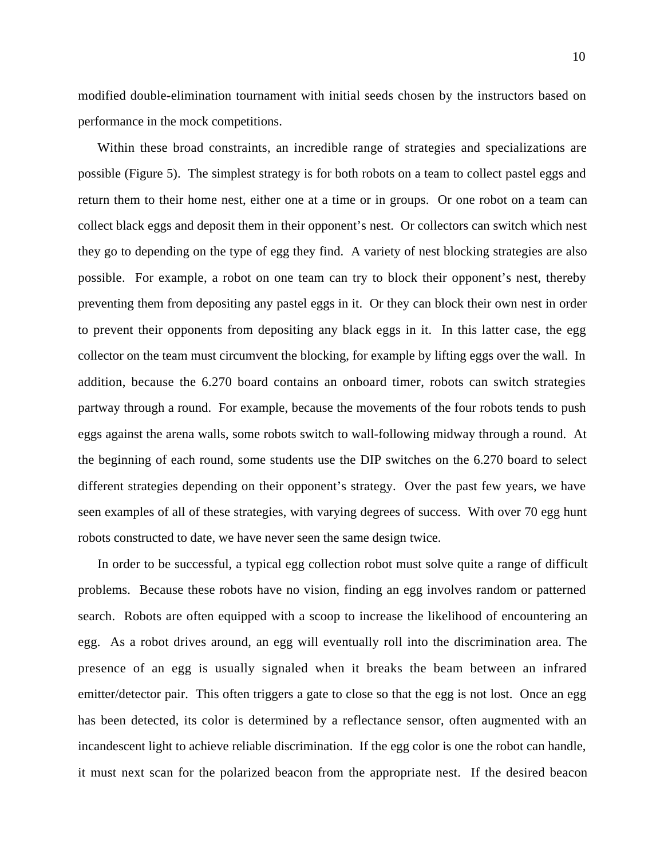modified double-elimination tournament with initial seeds chosen by the instructors based on performance in the mock competitions.

Within these broad constraints, an incredible range of strategies and specializations are possible (Figure 5). The simplest strategy is for both robots on a team to collect pastel eggs and return them to their home nest, either one at a time or in groups. Or one robot on a team can collect black eggs and deposit them in their opponent's nest. Or collectors can switch which nest they go to depending on the type of egg they find. A variety of nest blocking strategies are also possible. For example, a robot on one team can try to block their opponent's nest, thereby preventing them from depositing any pastel eggs in it. Or they can block their own nest in order to prevent their opponents from depositing any black eggs in it. In this latter case, the egg collector on the team must circumvent the blocking, for example by lifting eggs over the wall. In addition, because the 6.270 board contains an onboard timer, robots can switch strategies partway through a round. For example, because the movements of the four robots tends to push eggs against the arena walls, some robots switch to wall-following midway through a round. At the beginning of each round, some students use the DIP switches on the 6.270 board to select different strategies depending on their opponent's strategy. Over the past few years, we have seen examples of all of these strategies, with varying degrees of success. With over 70 egg hunt robots constructed to date, we have never seen the same design twice.

In order to be successful, a typical egg collection robot must solve quite a range of difficult problems. Because these robots have no vision, finding an egg involves random or patterned search. Robots are often equipped with a scoop to increase the likelihood of encountering an egg. As a robot drives around, an egg will eventually roll into the discrimination area. The presence of an egg is usually signaled when it breaks the beam between an infrared emitter/detector pair. This often triggers a gate to close so that the egg is not lost. Once an egg has been detected, its color is determined by a reflectance sensor, often augmented with an incandescent light to achieve reliable discrimination. If the egg color is one the robot can handle, it must next scan for the polarized beacon from the appropriate nest. If the desired beacon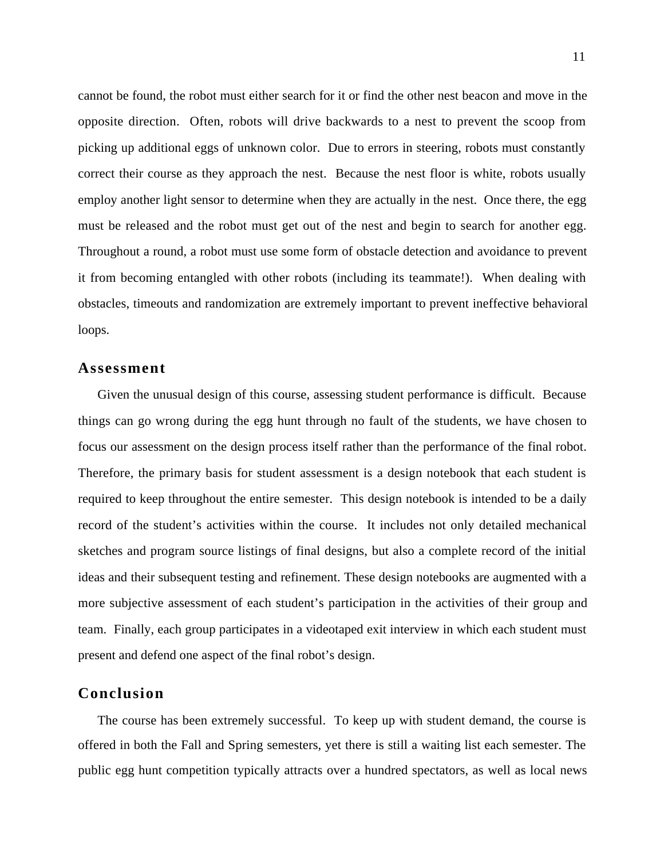cannot be found, the robot must either search for it or find the other nest beacon and move in the opposite direction. Often, robots will drive backwards to a nest to prevent the scoop from picking up additional eggs of unknown color. Due to errors in steering, robots must constantly correct their course as they approach the nest. Because the nest floor is white, robots usually employ another light sensor to determine when they are actually in the nest. Once there, the egg must be released and the robot must get out of the nest and begin to search for another egg. Throughout a round, a robot must use some form of obstacle detection and avoidance to prevent it from becoming entangled with other robots (including its teammate!). When dealing with obstacles, timeouts and randomization are extremely important to prevent ineffective behavioral loops.

#### **Assessment**

Given the unusual design of this course, assessing student performance is difficult. Because things can go wrong during the egg hunt through no fault of the students, we have chosen to focus our assessment on the design process itself rather than the performance of the final robot. Therefore, the primary basis for student assessment is a design notebook that each student is required to keep throughout the entire semester. This design notebook is intended to be a daily record of the student's activities within the course. It includes not only detailed mechanical sketches and program source listings of final designs, but also a complete record of the initial ideas and their subsequent testing and refinement. These design notebooks are augmented with a more subjective assessment of each student's participation in the activities of their group and team. Finally, each group participates in a videotaped exit interview in which each student must present and defend one aspect of the final robot's design.

## **Conclusion**

The course has been extremely successful. To keep up with student demand, the course is offered in both the Fall and Spring semesters, yet there is still a waiting list each semester. The public egg hunt competition typically attracts over a hundred spectators, as well as local news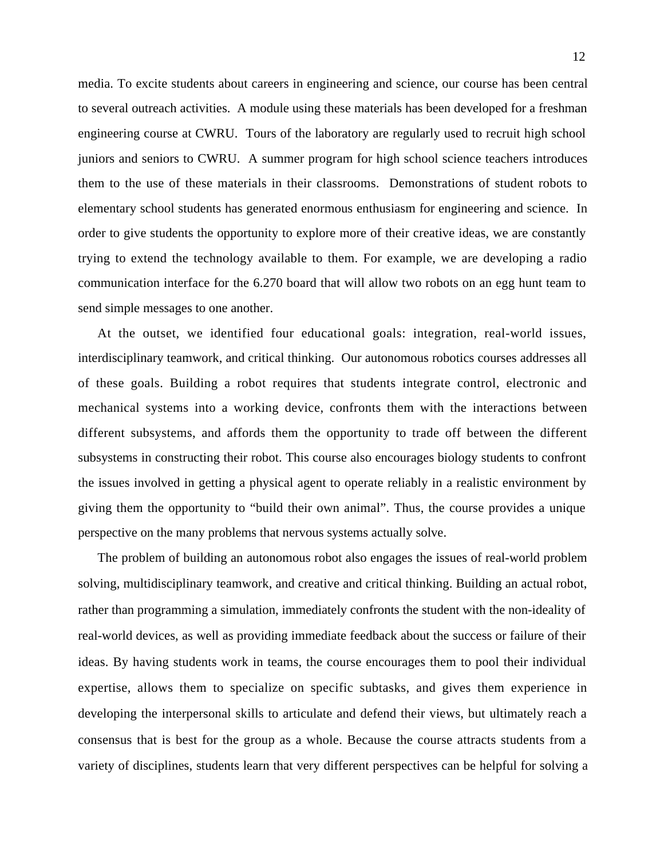media. To excite students about careers in engineering and science, our course has been central to several outreach activities. A module using these materials has been developed for a freshman engineering course at CWRU. Tours of the laboratory are regularly used to recruit high school juniors and seniors to CWRU. A summer program for high school science teachers introduces them to the use of these materials in their classrooms. Demonstrations of student robots to elementary school students has generated enormous enthusiasm for engineering and science. In order to give students the opportunity to explore more of their creative ideas, we are constantly trying to extend the technology available to them. For example, we are developing a radio communication interface for the 6.270 board that will allow two robots on an egg hunt team to send simple messages to one another.

At the outset, we identified four educational goals: integration, real-world issues, interdisciplinary teamwork, and critical thinking. Our autonomous robotics courses addresses all of these goals. Building a robot requires that students integrate control, electronic and mechanical systems into a working device, confronts them with the interactions between different subsystems, and affords them the opportunity to trade off between the different subsystems in constructing their robot. This course also encourages biology students to confront the issues involved in getting a physical agent to operate reliably in a realistic environment by giving them the opportunity to "build their own animal". Thus, the course provides a unique perspective on the many problems that nervous systems actually solve.

The problem of building an autonomous robot also engages the issues of real-world problem solving, multidisciplinary teamwork, and creative and critical thinking. Building an actual robot, rather than programming a simulation, immediately confronts the student with the non-ideality of real-world devices, as well as providing immediate feedback about the success or failure of their ideas. By having students work in teams, the course encourages them to pool their individual expertise, allows them to specialize on specific subtasks, and gives them experience in developing the interpersonal skills to articulate and defend their views, but ultimately reach a consensus that is best for the group as a whole. Because the course attracts students from a variety of disciplines, students learn that very different perspectives can be helpful for solving a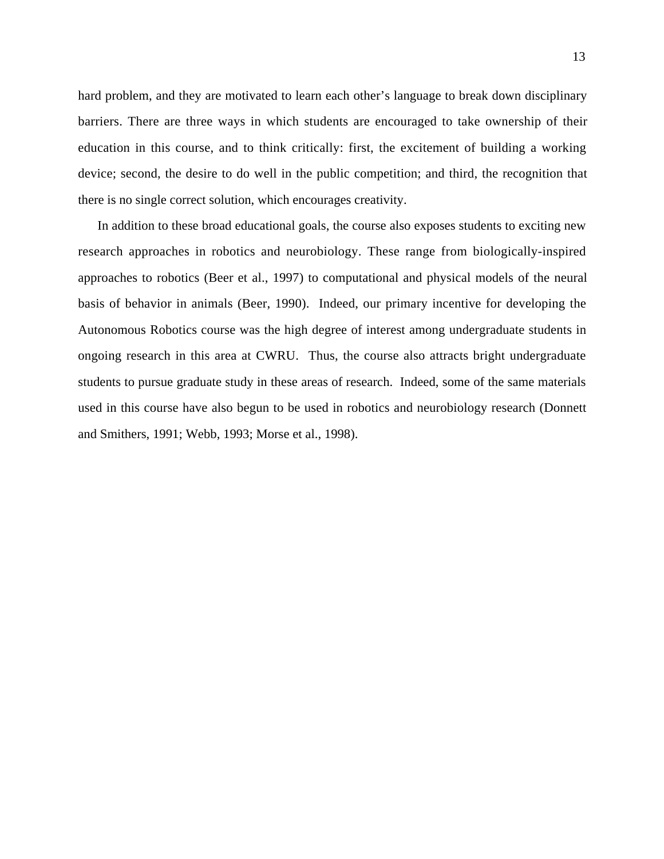hard problem, and they are motivated to learn each other's language to break down disciplinary barriers. There are three ways in which students are encouraged to take ownership of their education in this course, and to think critically: first, the excitement of building a working device; second, the desire to do well in the public competition; and third, the recognition that there is no single correct solution, which encourages creativity.

In addition to these broad educational goals, the course also exposes students to exciting new research approaches in robotics and neurobiology. These range from biologically-inspired approaches to robotics (Beer et al., 1997) to computational and physical models of the neural basis of behavior in animals (Beer, 1990). Indeed, our primary incentive for developing the Autonomous Robotics course was the high degree of interest among undergraduate students in ongoing research in this area at CWRU. Thus, the course also attracts bright undergraduate students to pursue graduate study in these areas of research. Indeed, some of the same materials used in this course have also begun to be used in robotics and neurobiology research (Donnett and Smithers, 1991; Webb, 1993; Morse et al., 1998).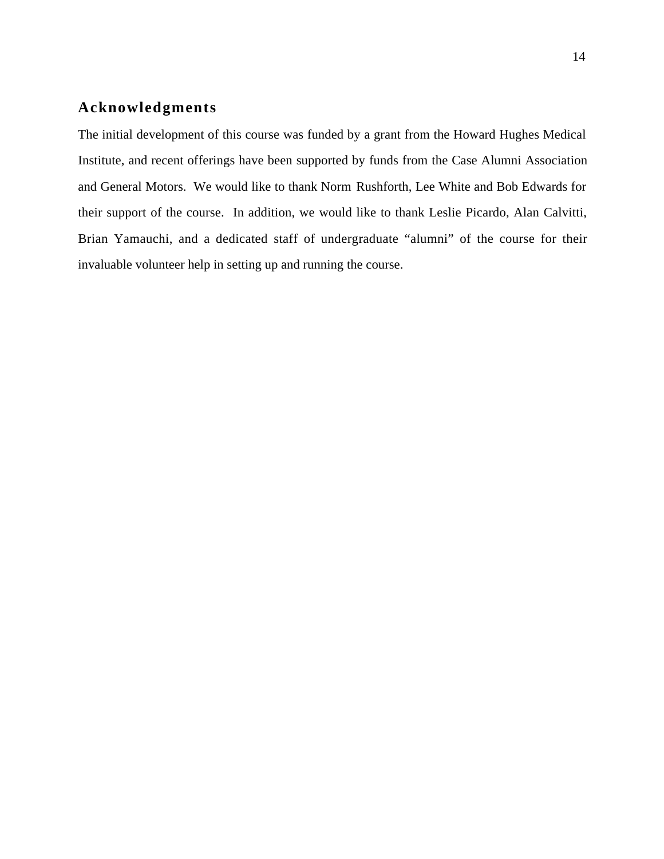## **Acknowledgments**

The initial development of this course was funded by a grant from the Howard Hughes Medical Institute, and recent offerings have been supported by funds from the Case Alumni Association and General Motors. We would like to thank Norm Rushforth, Lee White and Bob Edwards for their support of the course. In addition, we would like to thank Leslie Picardo, Alan Calvitti, Brian Yamauchi, and a dedicated staff of undergraduate "alumni" of the course for their invaluable volunteer help in setting up and running the course.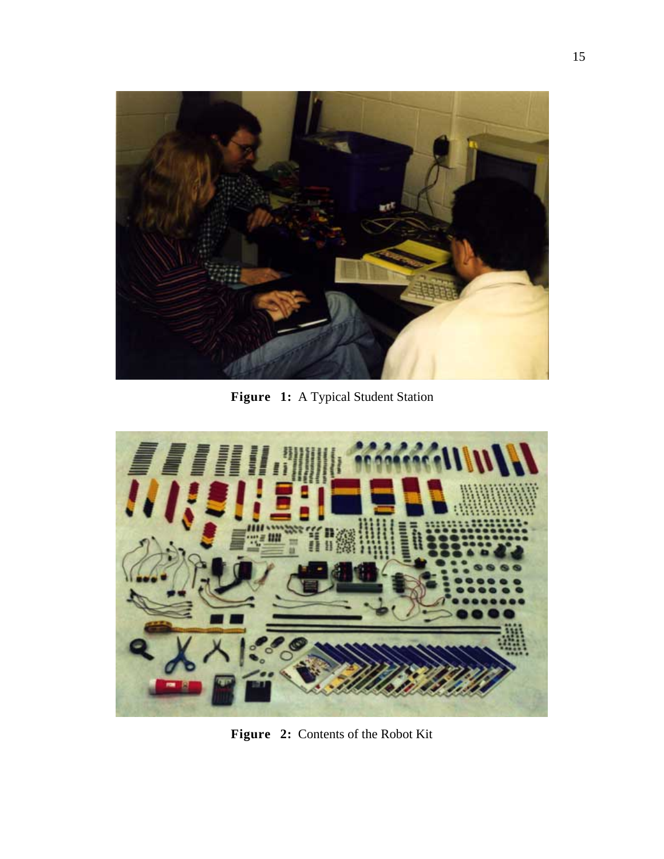

Figure 1: A Typical Student Station



**Figure 2:** Contents of the Robot Kit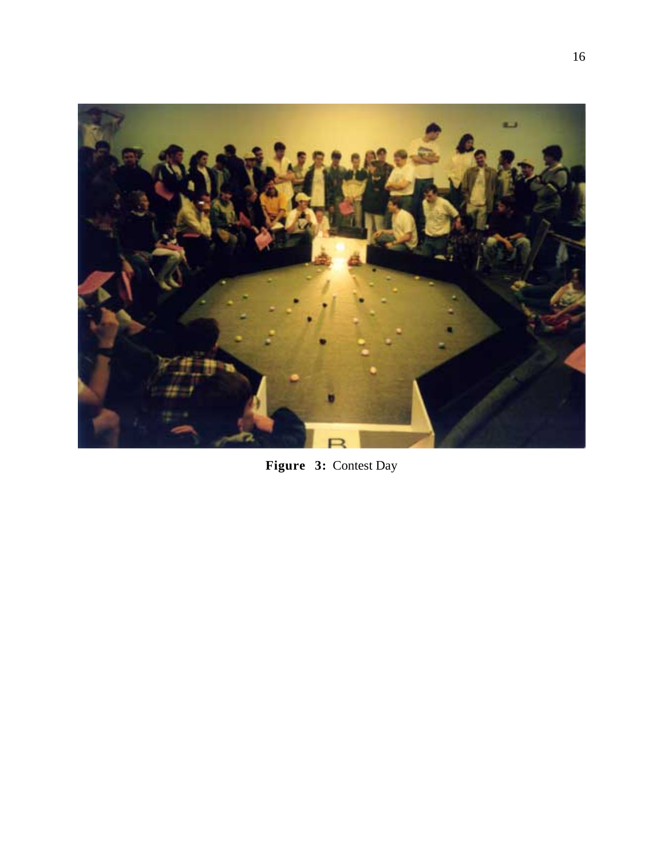

**Figure 3:** Contest Day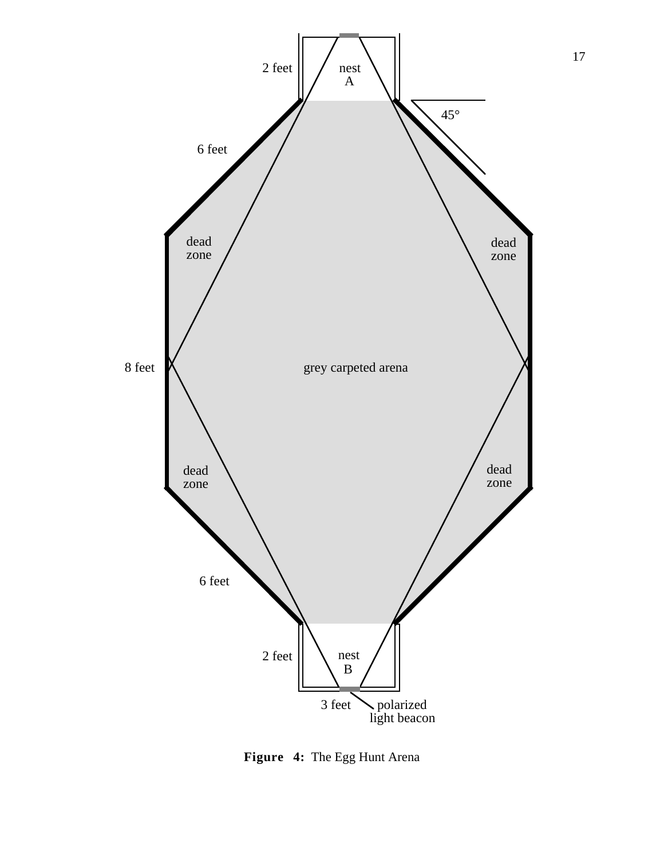

**Figure 4:** The Egg Hunt Arena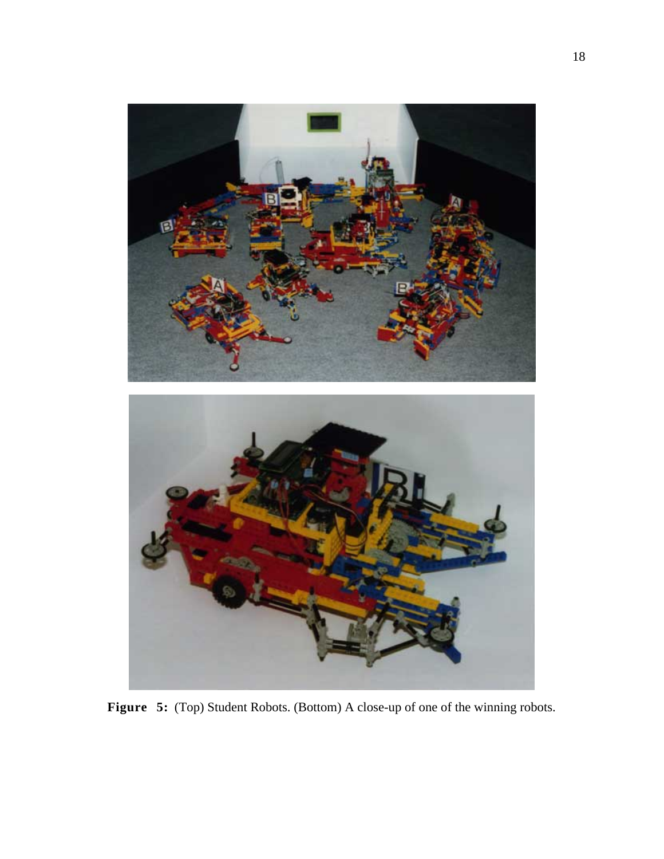

**Figure 5:** (Top) Student Robots. (Bottom) A close-up of one of the winning robots.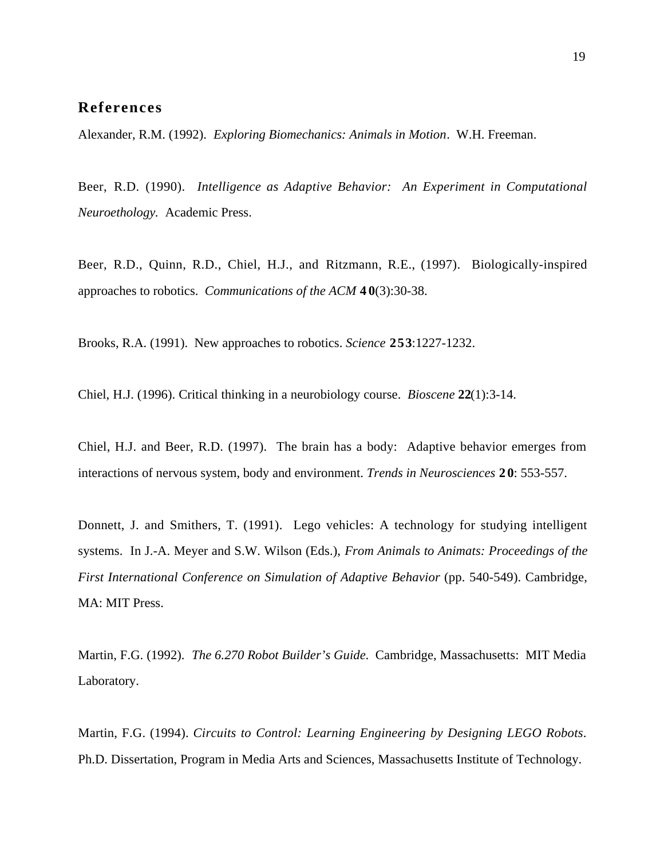## **References**

Alexander, R.M. (1992). *Exploring Biomechanics: Animals in Motion*. W.H. Freeman.

Beer, R.D. (1990). *Intelligence as Adaptive Behavior: An Experiment in Computational Neuroethology.* Academic Press.

Beer, R.D., Quinn, R.D., Chiel, H.J., and Ritzmann, R.E., (1997). Biologically-inspired approaches to robotics. *Communications of the ACM* **4 0**(3):30-38.

Brooks, R.A. (1991). New approaches to robotics. *Science* **253**:1227-1232.

Chiel, H.J. (1996). Critical thinking in a neurobiology course. *Bioscene* **22**(1):3-14.

Chiel, H.J. and Beer, R.D. (1997). The brain has a body: Adaptive behavior emerges from interactions of nervous system, body and environment. *Trends in Neurosciences* **2 0**: 553-557.

Donnett, J. and Smithers, T. (1991). Lego vehicles: A technology for studying intelligent systems. In J.-A. Meyer and S.W. Wilson (Eds.), *From Animals to Animats: Proceedings of the First International Conference on Simulation of Adaptive Behavior* (pp. 540-549). Cambridge, MA: MIT Press.

Martin, F.G. (1992). *The 6.270 Robot Builder's Guide*. Cambridge, Massachusetts: MIT Media Laboratory.

Martin, F.G. (1994). *Circuits to Control: Learning Engineering by Designing LEGO Robots*. Ph.D. Dissertation, Program in Media Arts and Sciences, Massachusetts Institute of Technology.